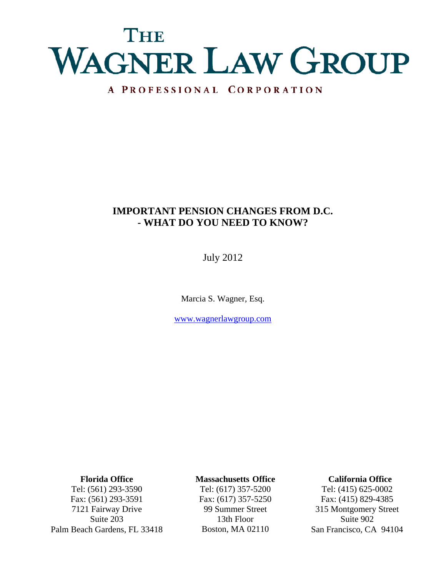# Tiera WAGNER LAW GROUP

# A PROFESSIONAL CORPORATION

# **IMPORTANT PENSION CHANGES FROM D.C. - WHAT DO YOU NEED TO KNOW?**

July 2012

Marcia S. Wagner, Esq.

www.wagnerlawgroup.com

**Florida Office**

Tel: (561) 293-3590 Fax: (561) 293-3591 7121 Fairway Drive Suite 203 Palm Beach Gardens, FL 33418

# **Massachusetts Office**

Tel: (617) 357-5200 Fax: (617) 357-5250 99 Summer Street 13th Floor Boston, MA 02110

# **California Office**

Tel: (415) 625-0002 Fax: (415) 829-4385 315 Montgomery Street Suite 902 San Francisco, CA 94104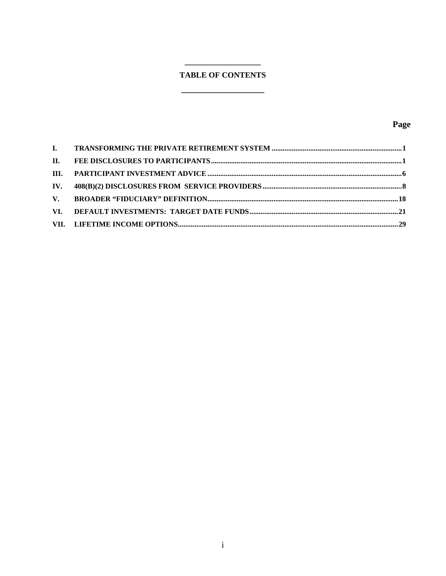# **TABLE OF CONTENTS**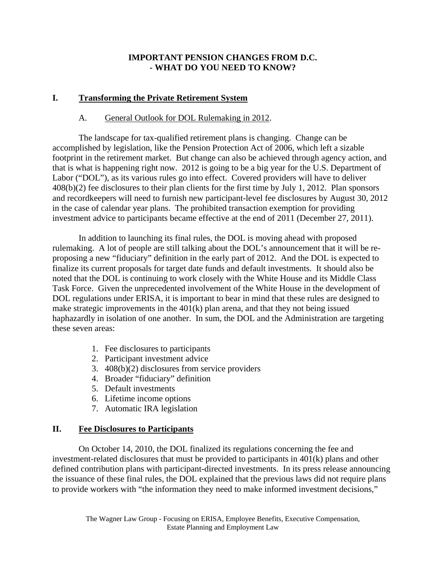# **IMPORTANT PENSION CHANGES FROM D.C. - WHAT DO YOU NEED TO KNOW?**

# **I. Transforming the Private Retirement System**

# A. General Outlook for DOL Rulemaking in 2012.

The landscape for tax-qualified retirement plans is changing. Change can be accomplished by legislation, like the Pension Protection Act of 2006, which left a sizable footprint in the retirement market. But change can also be achieved through agency action, and that is what is happening right now. 2012 is going to be a big year for the U.S. Department of Labor ("DOL"), as its various rules go into effect. Covered providers will have to deliver 408(b)(2) fee disclosures to their plan clients for the first time by July 1, 2012. Plan sponsors and recordkeepers will need to furnish new participant-level fee disclosures by August 30, 2012 in the case of calendar year plans. The prohibited transaction exemption for providing investment advice to participants became effective at the end of 2011 (December 27, 2011).

In addition to launching its final rules, the DOL is moving ahead with proposed rulemaking. A lot of people are still talking about the DOL's announcement that it will be reproposing a new "fiduciary" definition in the early part of 2012. And the DOL is expected to finalize its current proposals for target date funds and default investments. It should also be noted that the DOL is continuing to work closely with the White House and its Middle Class Task Force. Given the unprecedented involvement of the White House in the development of DOL regulations under ERISA, it is important to bear in mind that these rules are designed to make strategic improvements in the 401(k) plan arena, and that they not being issued haphazardly in isolation of one another. In sum, the DOL and the Administration are targeting these seven areas:

- 1. Fee disclosures to participants
- 2. Participant investment advice
- 3. 408(b)(2) disclosures from service providers
- 4. Broader "fiduciary" definition
- 5. Default investments
- 6. Lifetime income options
- 7. Automatic IRA legislation

# **II. Fee Disclosures to Participants**

 On October 14, 2010, the DOL finalized its regulations concerning the fee and investment-related disclosures that must be provided to participants in 401(k) plans and other defined contribution plans with participant-directed investments. In its press release announcing the issuance of these final rules, the DOL explained that the previous laws did not require plans to provide workers with "the information they need to make informed investment decisions,"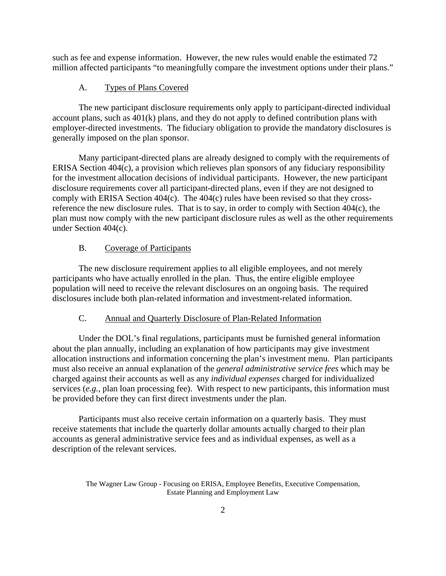such as fee and expense information. However, the new rules would enable the estimated 72 million affected participants "to meaningfully compare the investment options under their plans."

# A. Types of Plans Covered

 The new participant disclosure requirements only apply to participant-directed individual account plans, such as 401(k) plans, and they do not apply to defined contribution plans with employer-directed investments. The fiduciary obligation to provide the mandatory disclosures is generally imposed on the plan sponsor.

 Many participant-directed plans are already designed to comply with the requirements of ERISA Section 404(c), a provision which relieves plan sponsors of any fiduciary responsibility for the investment allocation decisions of individual participants. However, the new participant disclosure requirements cover all participant-directed plans, even if they are not designed to comply with ERISA Section 404(c). The 404(c) rules have been revised so that they crossreference the new disclosure rules. That is to say, in order to comply with Section 404(c), the plan must now comply with the new participant disclosure rules as well as the other requirements under Section 404(c).

### B. Coverage of Participants

 The new disclosure requirement applies to all eligible employees, and not merely participants who have actually enrolled in the plan. Thus, the entire eligible employee population will need to receive the relevant disclosures on an ongoing basis. The required disclosures include both plan-related information and investment-related information.

# C. Annual and Quarterly Disclosure of Plan-Related Information

 Under the DOL's final regulations, participants must be furnished general information about the plan annually, including an explanation of how participants may give investment allocation instructions and information concerning the plan's investment menu. Plan participants must also receive an annual explanation of the *general administrative service fees* which may be charged against their accounts as well as any *individual expenses* charged for individualized services (*e.g.*, plan loan processing fee). With respect to new participants, this information must be provided before they can first direct investments under the plan.

 Participants must also receive certain information on a quarterly basis. They must receive statements that include the quarterly dollar amounts actually charged to their plan accounts as general administrative service fees and as individual expenses, as well as a description of the relevant services.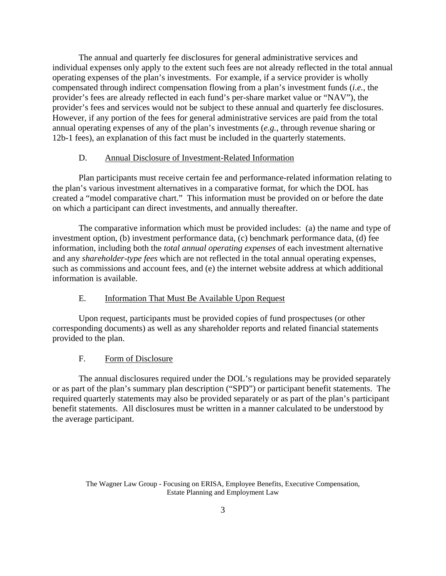The annual and quarterly fee disclosures for general administrative services and individual expenses only apply to the extent such fees are not already reflected in the total annual operating expenses of the plan's investments. For example, if a service provider is wholly compensated through indirect compensation flowing from a plan's investment funds (*i.e.*, the provider's fees are already reflected in each fund's per-share market value or "NAV"), the provider's fees and services would not be subject to these annual and quarterly fee disclosures. However, if any portion of the fees for general administrative services are paid from the total annual operating expenses of any of the plan's investments (*e.g.*, through revenue sharing or 12b-1 fees), an explanation of this fact must be included in the quarterly statements.

#### D. Annual Disclosure of Investment-Related Information

 Plan participants must receive certain fee and performance-related information relating to the plan's various investment alternatives in a comparative format, for which the DOL has created a "model comparative chart." This information must be provided on or before the date on which a participant can direct investments, and annually thereafter.

 The comparative information which must be provided includes: (a) the name and type of investment option, (b) investment performance data, (c) benchmark performance data, (d) fee information, including both the *total annual operating expenses* of each investment alternative and any *shareholder-type fees* which are not reflected in the total annual operating expenses, such as commissions and account fees, and (e) the internet website address at which additional information is available.

#### E. Information That Must Be Available Upon Request

 Upon request, participants must be provided copies of fund prospectuses (or other corresponding documents) as well as any shareholder reports and related financial statements provided to the plan.

#### F. Form of Disclosure

 The annual disclosures required under the DOL's regulations may be provided separately or as part of the plan's summary plan description ("SPD") or participant benefit statements. The required quarterly statements may also be provided separately or as part of the plan's participant benefit statements. All disclosures must be written in a manner calculated to be understood by the average participant.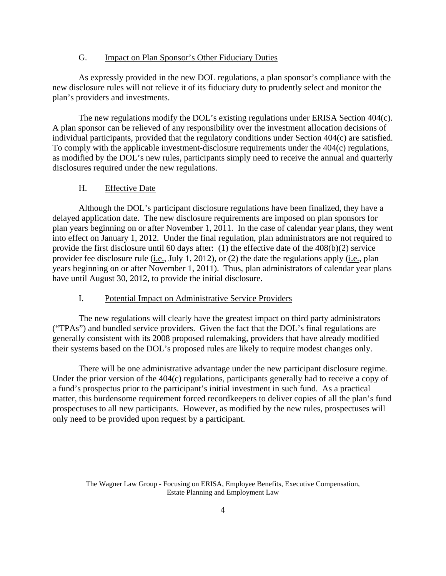#### G. Impact on Plan Sponsor's Other Fiduciary Duties

 As expressly provided in the new DOL regulations, a plan sponsor's compliance with the new disclosure rules will not relieve it of its fiduciary duty to prudently select and monitor the plan's providers and investments.

 The new regulations modify the DOL's existing regulations under ERISA Section 404(c). A plan sponsor can be relieved of any responsibility over the investment allocation decisions of individual participants, provided that the regulatory conditions under Section 404(c) are satisfied. To comply with the applicable investment-disclosure requirements under the 404(c) regulations, as modified by the DOL's new rules, participants simply need to receive the annual and quarterly disclosures required under the new regulations.

# H. Effective Date

 Although the DOL's participant disclosure regulations have been finalized, they have a delayed application date. The new disclosure requirements are imposed on plan sponsors for plan years beginning on or after November 1, 2011. In the case of calendar year plans, they went into effect on January 1, 2012. Under the final regulation, plan administrators are not required to provide the first disclosure until 60 days after: (1) the effective date of the 408(b)(2) service provider fee disclosure rule (i.e., July 1, 2012), or (2) the date the regulations apply (i.e., plan years beginning on or after November 1, 2011). Thus, plan administrators of calendar year plans have until August 30, 2012, to provide the initial disclosure.

#### I. Potential Impact on Administrative Service Providers

The new regulations will clearly have the greatest impact on third party administrators ("TPAs") and bundled service providers. Given the fact that the DOL's final regulations are generally consistent with its 2008 proposed rulemaking, providers that have already modified their systems based on the DOL's proposed rules are likely to require modest changes only.

There will be one administrative advantage under the new participant disclosure regime. Under the prior version of the 404(c) regulations, participants generally had to receive a copy of a fund's prospectus prior to the participant's initial investment in such fund. As a practical matter, this burdensome requirement forced recordkeepers to deliver copies of all the plan's fund prospectuses to all new participants. However, as modified by the new rules, prospectuses will only need to be provided upon request by a participant.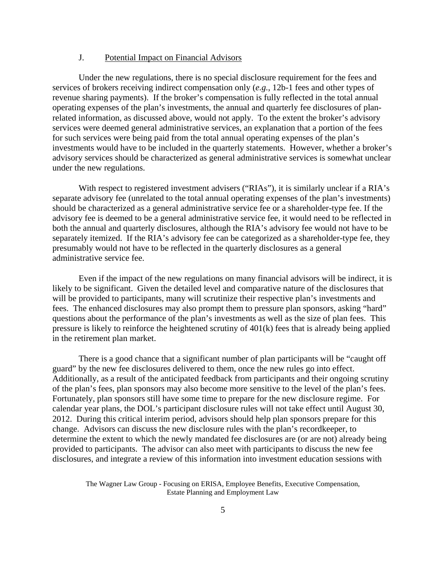#### J. Potential Impact on Financial Advisors

 Under the new regulations, there is no special disclosure requirement for the fees and services of brokers receiving indirect compensation only (*e.g.*, 12b-1 fees and other types of revenue sharing payments). If the broker's compensation is fully reflected in the total annual operating expenses of the plan's investments, the annual and quarterly fee disclosures of planrelated information, as discussed above, would not apply. To the extent the broker's advisory services were deemed general administrative services, an explanation that a portion of the fees for such services were being paid from the total annual operating expenses of the plan's investments would have to be included in the quarterly statements. However, whether a broker's advisory services should be characterized as general administrative services is somewhat unclear under the new regulations.

With respect to registered investment advisers ("RIAs"), it is similarly unclear if a RIA's separate advisory fee (unrelated to the total annual operating expenses of the plan's investments) should be characterized as a general administrative service fee or a shareholder-type fee. If the advisory fee is deemed to be a general administrative service fee, it would need to be reflected in both the annual and quarterly disclosures, although the RIA's advisory fee would not have to be separately itemized. If the RIA's advisory fee can be categorized as a shareholder-type fee, they presumably would not have to be reflected in the quarterly disclosures as a general administrative service fee.

Even if the impact of the new regulations on many financial advisors will be indirect, it is likely to be significant. Given the detailed level and comparative nature of the disclosures that will be provided to participants, many will scrutinize their respective plan's investments and fees. The enhanced disclosures may also prompt them to pressure plan sponsors, asking "hard" questions about the performance of the plan's investments as well as the size of plan fees. This pressure is likely to reinforce the heightened scrutiny of 401(k) fees that is already being applied in the retirement plan market.

 There is a good chance that a significant number of plan participants will be "caught off guard" by the new fee disclosures delivered to them, once the new rules go into effect. Additionally, as a result of the anticipated feedback from participants and their ongoing scrutiny of the plan's fees, plan sponsors may also become more sensitive to the level of the plan's fees. Fortunately, plan sponsors still have some time to prepare for the new disclosure regime. For calendar year plans, the DOL's participant disclosure rules will not take effect until August 30, 2012. During this critical interim period, advisors should help plan sponsors prepare for this change. Advisors can discuss the new disclosure rules with the plan's recordkeeper, to determine the extent to which the newly mandated fee disclosures are (or are not) already being provided to participants. The advisor can also meet with participants to discuss the new fee disclosures, and integrate a review of this information into investment education sessions with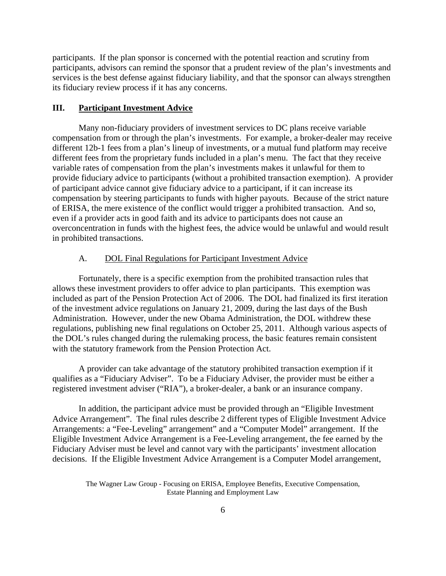participants. If the plan sponsor is concerned with the potential reaction and scrutiny from participants, advisors can remind the sponsor that a prudent review of the plan's investments and services is the best defense against fiduciary liability, and that the sponsor can always strengthen its fiduciary review process if it has any concerns.

# **III. Participant Investment Advice**

Many non-fiduciary providers of investment services to DC plans receive variable compensation from or through the plan's investments. For example, a broker-dealer may receive different 12b-1 fees from a plan's lineup of investments, or a mutual fund platform may receive different fees from the proprietary funds included in a plan's menu. The fact that they receive variable rates of compensation from the plan's investments makes it unlawful for them to provide fiduciary advice to participants (without a prohibited transaction exemption). A provider of participant advice cannot give fiduciary advice to a participant, if it can increase its compensation by steering participants to funds with higher payouts. Because of the strict nature of ERISA, the mere existence of the conflict would trigger a prohibited transaction. And so, even if a provider acts in good faith and its advice to participants does not cause an overconcentration in funds with the highest fees, the advice would be unlawful and would result in prohibited transactions.

#### A. DOL Final Regulations for Participant Investment Advice

Fortunately, there is a specific exemption from the prohibited transaction rules that allows these investment providers to offer advice to plan participants. This exemption was included as part of the Pension Protection Act of 2006. The DOL had finalized its first iteration of the investment advice regulations on January 21, 2009, during the last days of the Bush Administration. However, under the new Obama Administration, the DOL withdrew these regulations, publishing new final regulations on October 25, 2011. Although various aspects of the DOL's rules changed during the rulemaking process, the basic features remain consistent with the statutory framework from the Pension Protection Act.

 A provider can take advantage of the statutory prohibited transaction exemption if it qualifies as a "Fiduciary Adviser". To be a Fiduciary Adviser, the provider must be either a registered investment adviser ("RIA"), a broker-dealer, a bank or an insurance company.

 In addition, the participant advice must be provided through an "Eligible Investment Advice Arrangement". The final rules describe 2 different types of Eligible Investment Advice Arrangements: a "Fee-Leveling" arrangement" and a "Computer Model" arrangement. If the Eligible Investment Advice Arrangement is a Fee-Leveling arrangement, the fee earned by the Fiduciary Adviser must be level and cannot vary with the participants' investment allocation decisions. If the Eligible Investment Advice Arrangement is a Computer Model arrangement,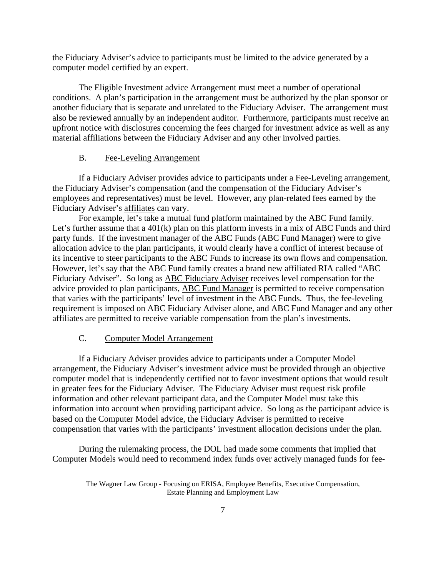the Fiduciary Adviser's advice to participants must be limited to the advice generated by a computer model certified by an expert.

 The Eligible Investment advice Arrangement must meet a number of operational conditions. A plan's participation in the arrangement must be authorized by the plan sponsor or another fiduciary that is separate and unrelated to the Fiduciary Adviser. The arrangement must also be reviewed annually by an independent auditor. Furthermore, participants must receive an upfront notice with disclosures concerning the fees charged for investment advice as well as any material affiliations between the Fiduciary Adviser and any other involved parties.

#### B. Fee-Leveling Arrangement

If a Fiduciary Adviser provides advice to participants under a Fee-Leveling arrangement, the Fiduciary Adviser's compensation (and the compensation of the Fiduciary Adviser's employees and representatives) must be level. However, any plan-related fees earned by the Fiduciary Adviser's affiliates can vary.

For example, let's take a mutual fund platform maintained by the ABC Fund family. Let's further assume that a 401(k) plan on this platform invests in a mix of ABC Funds and third party funds. If the investment manager of the ABC Funds (ABC Fund Manager) were to give allocation advice to the plan participants, it would clearly have a conflict of interest because of its incentive to steer participants to the ABC Funds to increase its own flows and compensation. However, let's say that the ABC Fund family creates a brand new affiliated RIA called "ABC Fiduciary Adviser". So long as ABC Fiduciary Adviser receives level compensation for the advice provided to plan participants, ABC Fund Manager is permitted to receive compensation that varies with the participants' level of investment in the ABC Funds. Thus, the fee-leveling requirement is imposed on ABC Fiduciary Adviser alone, and ABC Fund Manager and any other affiliates are permitted to receive variable compensation from the plan's investments.

#### C. Computer Model Arrangement

If a Fiduciary Adviser provides advice to participants under a Computer Model arrangement, the Fiduciary Adviser's investment advice must be provided through an objective computer model that is independently certified not to favor investment options that would result in greater fees for the Fiduciary Adviser. The Fiduciary Adviser must request risk profile information and other relevant participant data, and the Computer Model must take this information into account when providing participant advice. So long as the participant advice is based on the Computer Model advice, the Fiduciary Adviser is permitted to receive compensation that varies with the participants' investment allocation decisions under the plan.

During the rulemaking process, the DOL had made some comments that implied that Computer Models would need to recommend index funds over actively managed funds for fee-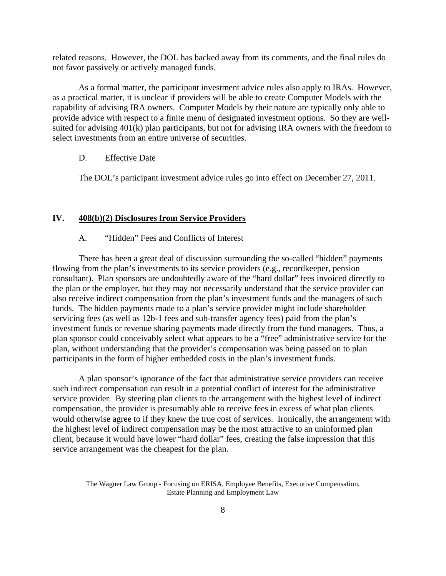related reasons. However, the DOL has backed away from its comments, and the final rules do not favor passively or actively managed funds.

As a formal matter, the participant investment advice rules also apply to IRAs. However, as a practical matter, it is unclear if providers will be able to create Computer Models with the capability of advising IRA owners. Computer Models by their nature are typically only able to provide advice with respect to a finite menu of designated investment options. So they are wellsuited for advising 401(k) plan participants, but not for advising IRA owners with the freedom to select investments from an entire universe of securities.

#### D. Effective Date

The DOL's participant investment advice rules go into effect on December 27, 2011.

#### **IV. 408(b)(2) Disclosures from Service Providers**

# A. "Hidden" Fees and Conflicts of Interest

There has been a great deal of discussion surrounding the so-called "hidden" payments flowing from the plan's investments to its service providers (e.g., recordkeeper, pension consultant). Plan sponsors are undoubtedly aware of the "hard dollar" fees invoiced directly to the plan or the employer, but they may not necessarily understand that the service provider can also receive indirect compensation from the plan's investment funds and the managers of such funds. The hidden payments made to a plan's service provider might include shareholder servicing fees (as well as 12b-1 fees and sub-transfer agency fees) paid from the plan's investment funds or revenue sharing payments made directly from the fund managers. Thus, a plan sponsor could conceivably select what appears to be a "free" administrative service for the plan, without understanding that the provider's compensation was being passed on to plan participants in the form of higher embedded costs in the plan's investment funds.

A plan sponsor's ignorance of the fact that administrative service providers can receive such indirect compensation can result in a potential conflict of interest for the administrative service provider. By steering plan clients to the arrangement with the highest level of indirect compensation, the provider is presumably able to receive fees in excess of what plan clients would otherwise agree to if they knew the true cost of services. Ironically, the arrangement with the highest level of indirect compensation may be the most attractive to an uninformed plan client, because it would have lower "hard dollar" fees, creating the false impression that this service arrangement was the cheapest for the plan.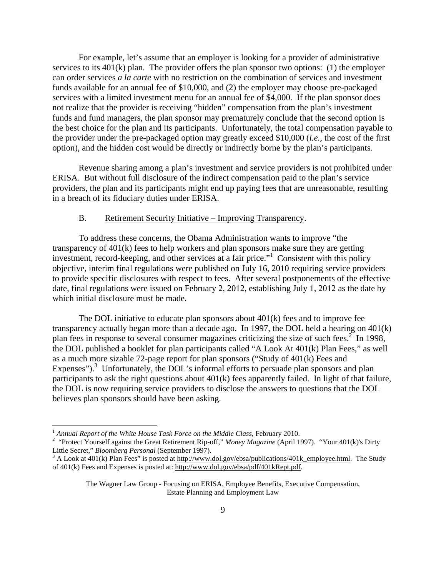For example, let's assume that an employer is looking for a provider of administrative services to its 401(k) plan. The provider offers the plan sponsor two options: (1) the employer can order services *a la carte* with no restriction on the combination of services and investment funds available for an annual fee of \$10,000, and (2) the employer may choose pre-packaged services with a limited investment menu for an annual fee of \$4,000. If the plan sponsor does not realize that the provider is receiving "hidden" compensation from the plan's investment funds and fund managers, the plan sponsor may prematurely conclude that the second option is the best choice for the plan and its participants. Unfortunately, the total compensation payable to the provider under the pre-packaged option may greatly exceed \$10,000 (*i.e.*, the cost of the first option), and the hidden cost would be directly or indirectly borne by the plan's participants.

Revenue sharing among a plan's investment and service providers is not prohibited under ERISA. But without full disclosure of the indirect compensation paid to the plan's service providers, the plan and its participants might end up paying fees that are unreasonable, resulting in a breach of its fiduciary duties under ERISA.

#### B. Retirement Security Initiative – Improving Transparency.

To address these concerns, the Obama Administration wants to improve "the transparency of 401(k) fees to help workers and plan sponsors make sure they are getting investment, record-keeping, and other services at a fair price."<sup>1</sup> Consistent with this policy objective, interim final regulations were published on July 16, 2010 requiring service providers to provide specific disclosures with respect to fees. After several postponements of the effective date, final regulations were issued on February 2, 2012, establishing July 1, 2012 as the date by which initial disclosure must be made.

The DOL initiative to educate plan sponsors about  $401(k)$  fees and to improve fee transparency actually began more than a decade ago. In 1997, the DOL held a hearing on 401(k) plan fees in response to several consumer magazines criticizing the size of such fees.<sup>2</sup> In 1998, the DOL published a booklet for plan participants called "A Look At 401(k) Plan Fees," as well as a much more sizable 72-page report for plan sponsors ("Study of 401(k) Fees and Expenses"). $3$  Unfortunately, the DOL's informal efforts to persuade plan sponsors and plan participants to ask the right questions about 401(k) fees apparently failed. In light of that failure, the DOL is now requiring service providers to disclose the answers to questions that the DOL believes plan sponsors should have been asking.

1

<sup>&</sup>lt;sup>1</sup> Annual Report of the White House Task Force on the Middle Class, February 2010.

<sup>&</sup>lt;sup>2</sup> "Protect Yourself against the Great Retirement Rip-off," *Money Magazine* (April 1997). "Your 401(k)'s Dirty Little Secret," *Bloomberg Personal* (September 1997).

<sup>&</sup>lt;sup>3</sup> A Look at 401(k) Plan Fees" is posted at http://www.dol.gov/ebsa/publications/401k\_employee.html. The Study of 401(k) Fees and Expenses is posted at: http://www.dol.gov/ebsa/pdf/401kRept.pdf.

The Wagner Law Group - Focusing on ERISA, Employee Benefits, Executive Compensation, Estate Planning and Employment Law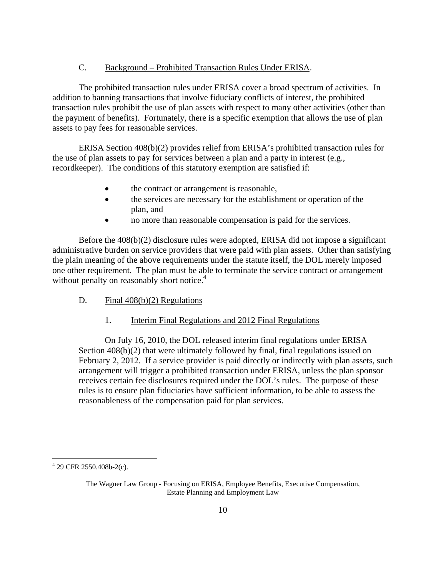#### C. Background – Prohibited Transaction Rules Under ERISA.

The prohibited transaction rules under ERISA cover a broad spectrum of activities. In addition to banning transactions that involve fiduciary conflicts of interest, the prohibited transaction rules prohibit the use of plan assets with respect to many other activities (other than the payment of benefits). Fortunately, there is a specific exemption that allows the use of plan assets to pay fees for reasonable services.

ERISA Section 408(b)(2) provides relief from ERISA's prohibited transaction rules for the use of plan assets to pay for services between a plan and a party in interest (e.g., recordkeeper). The conditions of this statutory exemption are satisfied if:

- the contract or arrangement is reasonable,
- the services are necessary for the establishment or operation of the plan, and
- no more than reasonable compensation is paid for the services.

Before the 408(b)(2) disclosure rules were adopted, ERISA did not impose a significant administrative burden on service providers that were paid with plan assets. Other than satisfying the plain meaning of the above requirements under the statute itself, the DOL merely imposed one other requirement. The plan must be able to terminate the service contract or arrangement without penalty on reasonably short notice.<sup>4</sup>

D. Final  $408(b)(2)$  Regulations

# 1. Interim Final Regulations and 2012 Final Regulations

On July 16, 2010, the DOL released interim final regulations under ERISA Section 408(b)(2) that were ultimately followed by final, final regulations issued on February 2, 2012. If a service provider is paid directly or indirectly with plan assets, such arrangement will trigger a prohibited transaction under ERISA, unless the plan sponsor receives certain fee disclosures required under the DOL's rules. The purpose of these rules is to ensure plan fiduciaries have sufficient information, to be able to assess the reasonableness of the compensation paid for plan services.

 $\overline{a}$ 

 $429$  CFR 2550.408b-2(c).

The Wagner Law Group - Focusing on ERISA, Employee Benefits, Executive Compensation, Estate Planning and Employment Law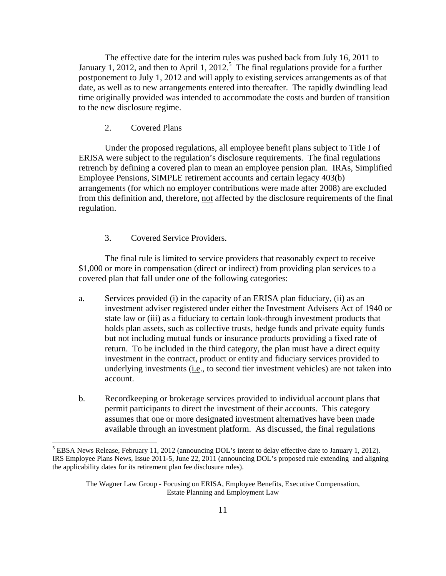The effective date for the interim rules was pushed back from July 16, 2011 to January 1, 2012, and then to April 1, 2012.<sup>5</sup> The final regulations provide for a further postponement to July 1, 2012 and will apply to existing services arrangements as of that date, as well as to new arrangements entered into thereafter. The rapidly dwindling lead time originally provided was intended to accommodate the costs and burden of transition to the new disclosure regime.

2. Covered Plans

 $\overline{a}$ 

Under the proposed regulations, all employee benefit plans subject to Title I of ERISA were subject to the regulation's disclosure requirements. The final regulations retrench by defining a covered plan to mean an employee pension plan. IRAs, Simplified Employee Pensions, SIMPLE retirement accounts and certain legacy 403(b) arrangements (for which no employer contributions were made after 2008) are excluded from this definition and, therefore, not affected by the disclosure requirements of the final regulation.

# 3. Covered Service Providers.

The final rule is limited to service providers that reasonably expect to receive \$1,000 or more in compensation (direct or indirect) from providing plan services to a covered plan that fall under one of the following categories:

- a. Services provided (i) in the capacity of an ERISA plan fiduciary, (ii) as an investment adviser registered under either the Investment Advisers Act of 1940 or state law or (iii) as a fiduciary to certain look-through investment products that holds plan assets, such as collective trusts, hedge funds and private equity funds but not including mutual funds or insurance products providing a fixed rate of return. To be included in the third category, the plan must have a direct equity investment in the contract, product or entity and fiduciary services provided to underlying investments (i.e., to second tier investment vehicles) are not taken into account.
- b. Recordkeeping or brokerage services provided to individual account plans that permit participants to direct the investment of their accounts. This category assumes that one or more designated investment alternatives have been made available through an investment platform. As discussed, the final regulations

<sup>&</sup>lt;sup>5</sup> EBSA News Release, February 11, 2012 (announcing DOL's intent to delay effective date to January 1, 2012). IRS Employee Plans News, Issue 2011-5, June 22, 2011 (announcing DOL's proposed rule extending and aligning the applicability dates for its retirement plan fee disclosure rules).

The Wagner Law Group - Focusing on ERISA, Employee Benefits, Executive Compensation, Estate Planning and Employment Law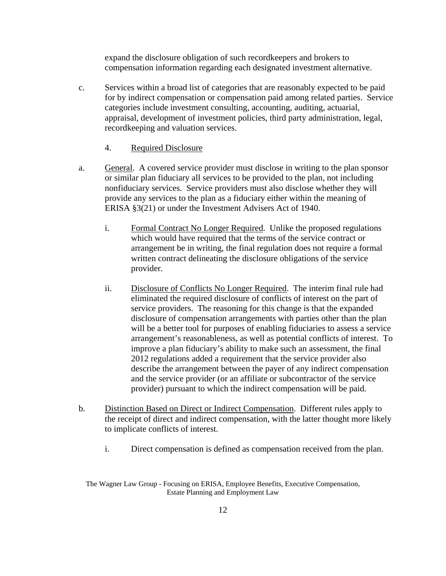expand the disclosure obligation of such recordkeepers and brokers to compensation information regarding each designated investment alternative.

- c. Services within a broad list of categories that are reasonably expected to be paid for by indirect compensation or compensation paid among related parties. Service categories include investment consulting, accounting, auditing, actuarial, appraisal, development of investment policies, third party administration, legal, recordkeeping and valuation services.
	- 4. Required Disclosure
- a. General. A covered service provider must disclose in writing to the plan sponsor or similar plan fiduciary all services to be provided to the plan, not including nonfiduciary services. Service providers must also disclose whether they will provide any services to the plan as a fiduciary either within the meaning of ERISA §3(21) or under the Investment Advisers Act of 1940.
	- i. Formal Contract No Longer Required. Unlike the proposed regulations which would have required that the terms of the service contract or arrangement be in writing, the final regulation does not require a formal written contract delineating the disclosure obligations of the service provider.
	- ii. Disclosure of Conflicts No Longer Required. The interim final rule had eliminated the required disclosure of conflicts of interest on the part of service providers. The reasoning for this change is that the expanded disclosure of compensation arrangements with parties other than the plan will be a better tool for purposes of enabling fiduciaries to assess a service arrangement's reasonableness, as well as potential conflicts of interest. To improve a plan fiduciary's ability to make such an assessment, the final 2012 regulations added a requirement that the service provider also describe the arrangement between the payer of any indirect compensation and the service provider (or an affiliate or subcontractor of the service provider) pursuant to which the indirect compensation will be paid.
- b. Distinction Based on Direct or Indirect Compensation. Different rules apply to the receipt of direct and indirect compensation, with the latter thought more likely to implicate conflicts of interest.
	- i. Direct compensation is defined as compensation received from the plan.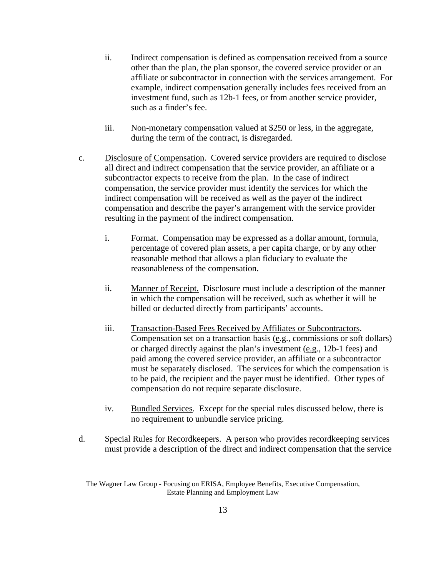- ii. Indirect compensation is defined as compensation received from a source other than the plan, the plan sponsor, the covered service provider or an affiliate or subcontractor in connection with the services arrangement. For example, indirect compensation generally includes fees received from an investment fund, such as 12b-1 fees, or from another service provider, such as a finder's fee.
- iii. Non-monetary compensation valued at \$250 or less, in the aggregate, during the term of the contract, is disregarded.
- c. Disclosure of Compensation. Covered service providers are required to disclose all direct and indirect compensation that the service provider, an affiliate or a subcontractor expects to receive from the plan. In the case of indirect compensation, the service provider must identify the services for which the indirect compensation will be received as well as the payer of the indirect compensation and describe the payer's arrangement with the service provider resulting in the payment of the indirect compensation.
	- i. Format. Compensation may be expressed as a dollar amount, formula, percentage of covered plan assets, a per capita charge, or by any other reasonable method that allows a plan fiduciary to evaluate the reasonableness of the compensation.
	- ii. Manner of Receipt. Disclosure must include a description of the manner in which the compensation will be received, such as whether it will be billed or deducted directly from participants' accounts.
	- iii. Transaction-Based Fees Received by Affiliates or Subcontractors. Compensation set on a transaction basis (e.g., commissions or soft dollars) or charged directly against the plan's investment (e.g., 12b-1 fees) and paid among the covered service provider, an affiliate or a subcontractor must be separately disclosed. The services for which the compensation is to be paid, the recipient and the payer must be identified. Other types of compensation do not require separate disclosure.
	- iv. Bundled Services. Except for the special rules discussed below, there is no requirement to unbundle service pricing.
- d. Special Rules for Recordkeepers. A person who provides recordkeeping services must provide a description of the direct and indirect compensation that the service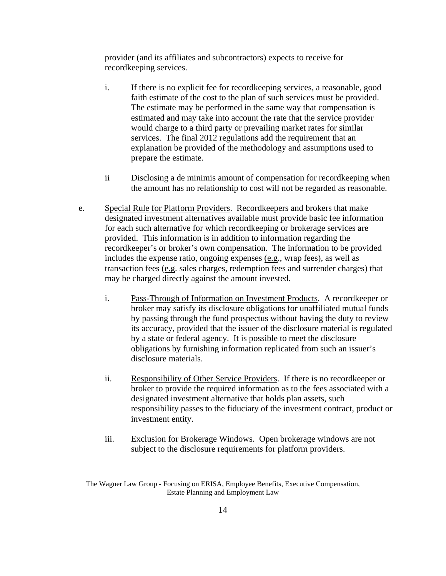provider (and its affiliates and subcontractors) expects to receive for recordkeeping services.

- i. If there is no explicit fee for recordkeeping services, a reasonable, good faith estimate of the cost to the plan of such services must be provided. The estimate may be performed in the same way that compensation is estimated and may take into account the rate that the service provider would charge to a third party or prevailing market rates for similar services. The final 2012 regulations add the requirement that an explanation be provided of the methodology and assumptions used to prepare the estimate.
- ii Disclosing a de minimis amount of compensation for recordkeeping when the amount has no relationship to cost will not be regarded as reasonable.
- e. Special Rule for Platform Providers. Recordkeepers and brokers that make designated investment alternatives available must provide basic fee information for each such alternative for which recordkeeping or brokerage services are provided. This information is in addition to information regarding the recordkeeper's or broker's own compensation. The information to be provided includes the expense ratio, ongoing expenses (e.g., wrap fees), as well as transaction fees (e.g. sales charges, redemption fees and surrender charges) that may be charged directly against the amount invested.
	- i. Pass-Through of Information on Investment Products. A recordkeeper or broker may satisfy its disclosure obligations for unaffiliated mutual funds by passing through the fund prospectus without having the duty to review its accuracy, provided that the issuer of the disclosure material is regulated by a state or federal agency. It is possible to meet the disclosure obligations by furnishing information replicated from such an issuer's disclosure materials.
	- ii. Responsibility of Other Service Providers. If there is no recordkeeper or broker to provide the required information as to the fees associated with a designated investment alternative that holds plan assets, such responsibility passes to the fiduciary of the investment contract, product or investment entity.
	- iii. Exclusion for Brokerage Windows. Open brokerage windows are not subject to the disclosure requirements for platform providers.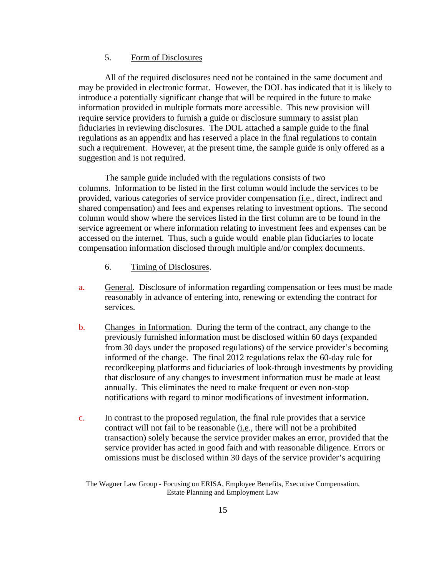## 5. Form of Disclosures

All of the required disclosures need not be contained in the same document and may be provided in electronic format. However, the DOL has indicated that it is likely to introduce a potentially significant change that will be required in the future to make information provided in multiple formats more accessible. This new provision will require service providers to furnish a guide or disclosure summary to assist plan fiduciaries in reviewing disclosures. The DOL attached a sample guide to the final regulations as an appendix and has reserved a place in the final regulations to contain such a requirement. However, at the present time, the sample guide is only offered as a suggestion and is not required.

The sample guide included with the regulations consists of two columns. Information to be listed in the first column would include the services to be provided, various categories of service provider compensation (i.e., direct, indirect and shared compensation) and fees and expenses relating to investment options. The second column would show where the services listed in the first column are to be found in the service agreement or where information relating to investment fees and expenses can be accessed on the internet. Thus, such a guide would enable plan fiduciaries to locate compensation information disclosed through multiple and/or complex documents.

- 6. Timing of Disclosures.
- a. General. Disclosure of information regarding compensation or fees must be made reasonably in advance of entering into, renewing or extending the contract for services.
- b. Changes in Information. During the term of the contract, any change to the previously furnished information must be disclosed within 60 days (expanded from 30 days under the proposed regulations) of the service provider's becoming informed of the change. The final 2012 regulations relax the 60-day rule for recordkeeping platforms and fiduciaries of look-through investments by providing that disclosure of any changes to investment information must be made at least annually. This eliminates the need to make frequent or even non-stop notifications with regard to minor modifications of investment information.
- c. In contrast to the proposed regulation, the final rule provides that a service contract will not fail to be reasonable (i.e., there will not be a prohibited transaction) solely because the service provider makes an error, provided that the service provider has acted in good faith and with reasonable diligence. Errors or omissions must be disclosed within 30 days of the service provider's acquiring

The Wagner Law Group - Focusing on ERISA, Employee Benefits, Executive Compensation, Estate Planning and Employment Law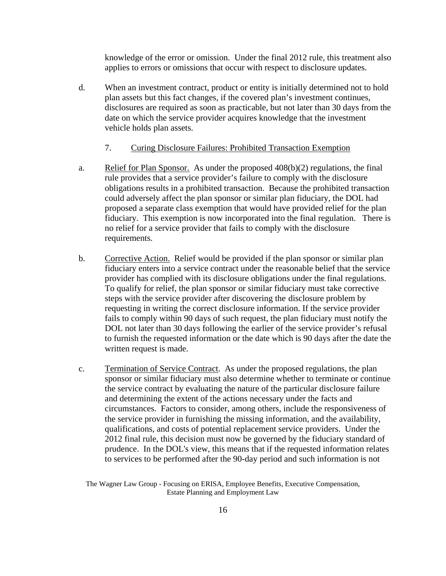knowledge of the error or omission. Under the final 2012 rule, this treatment also applies to errors or omissions that occur with respect to disclosure updates.

d. When an investment contract, product or entity is initially determined not to hold plan assets but this fact changes, if the covered plan's investment continues, disclosures are required as soon as practicable, but not later than 30 days from the date on which the service provider acquires knowledge that the investment vehicle holds plan assets.

#### 7. Curing Disclosure Failures: Prohibited Transaction Exemption

- a. Relief for Plan Sponsor. As under the proposed 408(b)(2) regulations, the final rule provides that a service provider's failure to comply with the disclosure obligations results in a prohibited transaction. Because the prohibited transaction could adversely affect the plan sponsor or similar plan fiduciary, the DOL had proposed a separate class exemption that would have provided relief for the plan fiduciary. This exemption is now incorporated into the final regulation. There is no relief for a service provider that fails to comply with the disclosure requirements.
- b. Corrective Action. Relief would be provided if the plan sponsor or similar plan fiduciary enters into a service contract under the reasonable belief that the service provider has complied with its disclosure obligations under the final regulations. To qualify for relief, the plan sponsor or similar fiduciary must take corrective steps with the service provider after discovering the disclosure problem by requesting in writing the correct disclosure information. If the service provider fails to comply within 90 days of such request, the plan fiduciary must notify the DOL not later than 30 days following the earlier of the service provider's refusal to furnish the requested information or the date which is 90 days after the date the written request is made.
- c. Termination of Service Contract. As under the proposed regulations, the plan sponsor or similar fiduciary must also determine whether to terminate or continue the service contract by evaluating the nature of the particular disclosure failure and determining the extent of the actions necessary under the facts and circumstances. Factors to consider, among others, include the responsiveness of the service provider in furnishing the missing information, and the availability, qualifications, and costs of potential replacement service providers. Under the 2012 final rule, this decision must now be governed by the fiduciary standard of prudence. In the DOL's view, this means that if the requested information relates to services to be performed after the 90-day period and such information is not

The Wagner Law Group - Focusing on ERISA, Employee Benefits, Executive Compensation, Estate Planning and Employment Law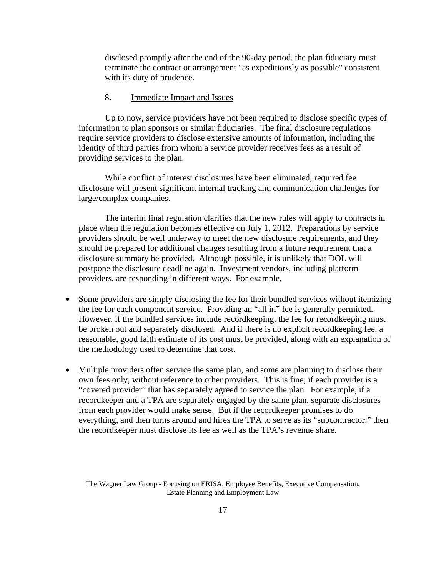disclosed promptly after the end of the 90-day period, the plan fiduciary must terminate the contract or arrangement "as expeditiously as possible" consistent with its duty of prudence.

#### 8. Immediate Impact and Issues

Up to now, service providers have not been required to disclose specific types of information to plan sponsors or similar fiduciaries. The final disclosure regulations require service providers to disclose extensive amounts of information, including the identity of third parties from whom a service provider receives fees as a result of providing services to the plan.

While conflict of interest disclosures have been eliminated, required fee disclosure will present significant internal tracking and communication challenges for large/complex companies.

The interim final regulation clarifies that the new rules will apply to contracts in place when the regulation becomes effective on July 1, 2012. Preparations by service providers should be well underway to meet the new disclosure requirements, and they should be prepared for additional changes resulting from a future requirement that a disclosure summary be provided. Although possible, it is unlikely that DOL will postpone the disclosure deadline again. Investment vendors, including platform providers, are responding in different ways. For example,

- Some providers are simply disclosing the fee for their bundled services without itemizing the fee for each component service. Providing an "all in" fee is generally permitted. However, if the bundled services include recordkeeping, the fee for recordkeeping must be broken out and separately disclosed. And if there is no explicit recordkeeping fee, a reasonable, good faith estimate of its cost must be provided, along with an explanation of the methodology used to determine that cost.
- Multiple providers often service the same plan, and some are planning to disclose their own fees only, without reference to other providers. This is fine, if each provider is a "covered provider" that has separately agreed to service the plan. For example, if a recordkeeper and a TPA are separately engaged by the same plan, separate disclosures from each provider would make sense. But if the recordkeeper promises to do everything, and then turns around and hires the TPA to serve as its "subcontractor," then the recordkeeper must disclose its fee as well as the TPA's revenue share.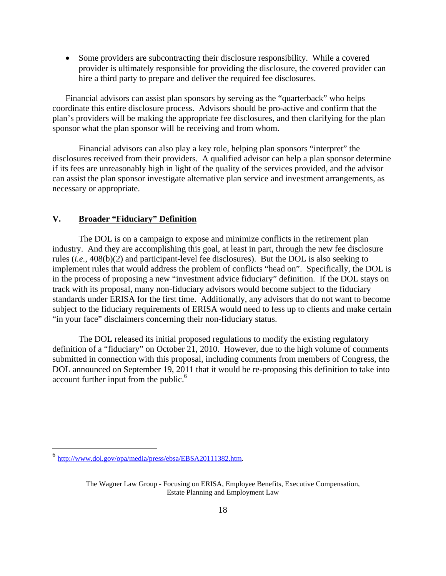Some providers are subcontracting their disclosure responsibility. While a covered provider is ultimately responsible for providing the disclosure, the covered provider can hire a third party to prepare and deliver the required fee disclosures.

Financial advisors can assist plan sponsors by serving as the "quarterback" who helps coordinate this entire disclosure process. Advisors should be pro-active and confirm that the plan's providers will be making the appropriate fee disclosures, and then clarifying for the plan sponsor what the plan sponsor will be receiving and from whom.

Financial advisors can also play a key role, helping plan sponsors "interpret" the disclosures received from their providers. A qualified advisor can help a plan sponsor determine if its fees are unreasonably high in light of the quality of the services provided, and the advisor can assist the plan sponsor investigate alternative plan service and investment arrangements, as necessary or appropriate.

# **V. Broader "Fiduciary" Definition**

The DOL is on a campaign to expose and minimize conflicts in the retirement plan industry. And they are accomplishing this goal, at least in part, through the new fee disclosure rules (*i.e.*, 408(b)(2) and participant-level fee disclosures). But the DOL is also seeking to implement rules that would address the problem of conflicts "head on". Specifically, the DOL is in the process of proposing a new "investment advice fiduciary" definition. If the DOL stays on track with its proposal, many non-fiduciary advisors would become subject to the fiduciary standards under ERISA for the first time. Additionally, any advisors that do not want to become subject to the fiduciary requirements of ERISA would need to fess up to clients and make certain "in your face" disclaimers concerning their non-fiduciary status.

The DOL released its initial proposed regulations to modify the existing regulatory definition of a "fiduciary" on October 21, 2010. However, due to the high volume of comments submitted in connection with this proposal, including comments from members of Congress, the DOL announced on September 19, 2011 that it would be re-proposing this definition to take into account further input from the public.<sup>6</sup>

<u>.</u>

<sup>6</sup> http://www.dol.gov/opa/media/press/ebsa/EBSA20111382.htm.

The Wagner Law Group - Focusing on ERISA, Employee Benefits, Executive Compensation, Estate Planning and Employment Law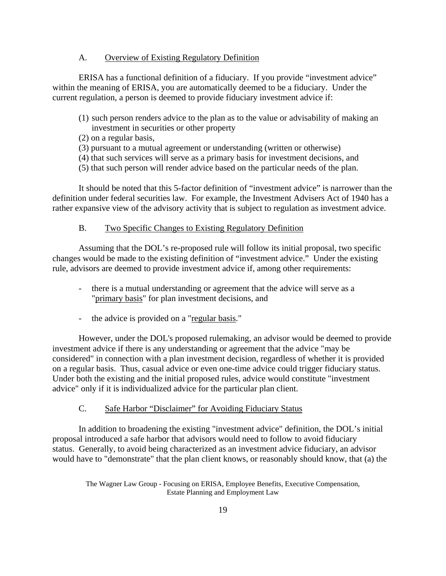#### A. Overview of Existing Regulatory Definition

ERISA has a functional definition of a fiduciary. If you provide "investment advice" within the meaning of ERISA, you are automatically deemed to be a fiduciary. Under the current regulation, a person is deemed to provide fiduciary investment advice if:

- (1) such person renders advice to the plan as to the value or advisability of making an investment in securities or other property
- (2) on a regular basis,
- (3) pursuant to a mutual agreement or understanding (written or otherwise)
- (4) that such services will serve as a primary basis for investment decisions, and
- (5) that such person will render advice based on the particular needs of the plan.

It should be noted that this 5-factor definition of "investment advice" is narrower than the definition under federal securities law. For example, the Investment Advisers Act of 1940 has a rather expansive view of the advisory activity that is subject to regulation as investment advice.

#### B. Two Specific Changes to Existing Regulatory Definition

Assuming that the DOL's re-proposed rule will follow its initial proposal, two specific changes would be made to the existing definition of "investment advice." Under the existing rule, advisors are deemed to provide investment advice if, among other requirements:

- there is a mutual understanding or agreement that the advice will serve as a "primary basis" for plan investment decisions, and
- the advice is provided on a "regular basis."

However, under the DOL's proposed rulemaking, an advisor would be deemed to provide investment advice if there is any understanding or agreement that the advice "may be considered" in connection with a plan investment decision, regardless of whether it is provided on a regular basis. Thus, casual advice or even one-time advice could trigger fiduciary status. Under both the existing and the initial proposed rules, advice would constitute "investment advice" only if it is individualized advice for the particular plan client.

#### C. Safe Harbor "Disclaimer" for Avoiding Fiduciary Status

In addition to broadening the existing "investment advice" definition, the DOL's initial proposal introduced a safe harbor that advisors would need to follow to avoid fiduciary status. Generally, to avoid being characterized as an investment advice fiduciary, an advisor would have to "demonstrate" that the plan client knows, or reasonably should know, that (a) the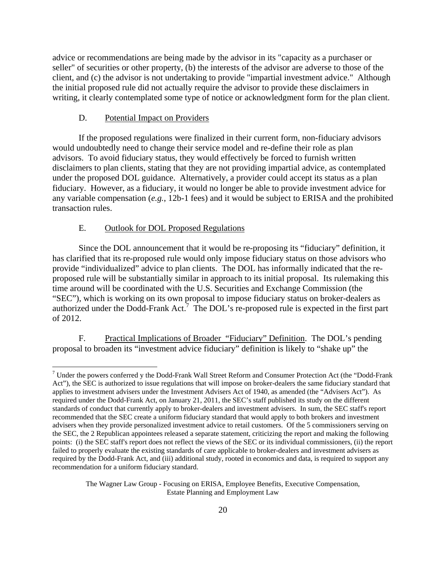advice or recommendations are being made by the advisor in its "capacity as a purchaser or seller" of securities or other property, (b) the interests of the advisor are adverse to those of the client, and (c) the advisor is not undertaking to provide "impartial investment advice." Although the initial proposed rule did not actually require the advisor to provide these disclaimers in writing, it clearly contemplated some type of notice or acknowledgment form for the plan client.

#### D. Potential Impact on Providers

If the proposed regulations were finalized in their current form, non-fiduciary advisors would undoubtedly need to change their service model and re-define their role as plan advisors. To avoid fiduciary status, they would effectively be forced to furnish written disclaimers to plan clients, stating that they are not providing impartial advice, as contemplated under the proposed DOL guidance. Alternatively, a provider could accept its status as a plan fiduciary. However, as a fiduciary, it would no longer be able to provide investment advice for any variable compensation (*e.g.*, 12b-1 fees) and it would be subject to ERISA and the prohibited transaction rules.

# E. Outlook for DOL Proposed Regulations

 $\overline{a}$ 

Since the DOL announcement that it would be re-proposing its "fiduciary" definition, it has clarified that its re-proposed rule would only impose fiduciary status on those advisors who provide "individualized" advice to plan clients. The DOL has informally indicated that the reproposed rule will be substantially similar in approach to its initial proposal. Its rulemaking this time around will be coordinated with the U.S. Securities and Exchange Commission (the "SEC"), which is working on its own proposal to impose fiduciary status on broker-dealers as authorized under the Dodd-Frank Act.<sup>7</sup> The DOL's re-proposed rule is expected in the first part of 2012.

F. Practical Implications of Broader "Fiduciary" Definition. The DOL's pending proposal to broaden its "investment advice fiduciary" definition is likely to "shake up" the

 $7$  Under the powers conferred y the Dodd-Frank Wall Street Reform and Consumer Protection Act (the "Dodd-Frank Act"), the SEC is authorized to issue regulations that will impose on broker-dealers the same fiduciary standard that applies to investment advisers under the Investment Advisers Act of 1940, as amended (the "Advisers Act"). As required under the Dodd-Frank Act, on January 21, 2011, the SEC's staff published its study on the different standards of conduct that currently apply to broker-dealers and investment advisers. In sum, the SEC staff's report recommended that the SEC create a uniform fiduciary standard that would apply to both brokers and investment advisers when they provide personalized investment advice to retail customers. Of the 5 commissioners serving on the SEC, the 2 Republican appointees released a separate statement, criticizing the report and making the following points: (i) the SEC staff's report does not reflect the views of the SEC or its individual commissioners, (ii) the report failed to properly evaluate the existing standards of care applicable to broker-dealers and investment advisers as required by the Dodd-Frank Act, and (iii) additional study, rooted in economics and data, is required to support any recommendation for a uniform fiduciary standard.

The Wagner Law Group - Focusing on ERISA, Employee Benefits, Executive Compensation, Estate Planning and Employment Law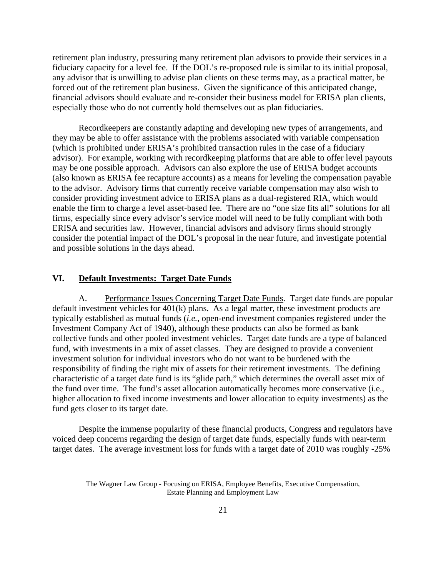retirement plan industry, pressuring many retirement plan advisors to provide their services in a fiduciary capacity for a level fee. If the DOL's re-proposed rule is similar to its initial proposal, any advisor that is unwilling to advise plan clients on these terms may, as a practical matter, be forced out of the retirement plan business. Given the significance of this anticipated change, financial advisors should evaluate and re-consider their business model for ERISA plan clients, especially those who do not currently hold themselves out as plan fiduciaries.

Recordkeepers are constantly adapting and developing new types of arrangements, and they may be able to offer assistance with the problems associated with variable compensation (which is prohibited under ERISA's prohibited transaction rules in the case of a fiduciary advisor). For example, working with recordkeeping platforms that are able to offer level payouts may be one possible approach. Advisors can also explore the use of ERISA budget accounts (also known as ERISA fee recapture accounts) as a means for leveling the compensation payable to the advisor. Advisory firms that currently receive variable compensation may also wish to consider providing investment advice to ERISA plans as a dual-registered RIA, which would enable the firm to charge a level asset-based fee. There are no "one size fits all" solutions for all firms, especially since every advisor's service model will need to be fully compliant with both ERISA and securities law. However, financial advisors and advisory firms should strongly consider the potential impact of the DOL's proposal in the near future, and investigate potential and possible solutions in the days ahead.

#### **VI. Default Investments: Target Date Funds**

A. Performance Issues Concerning Target Date Funds. Target date funds are popular default investment vehicles for 401(k) plans. As a legal matter, these investment products are typically established as mutual funds (*i.e.*, open-end investment companies registered under the Investment Company Act of 1940), although these products can also be formed as bank collective funds and other pooled investment vehicles. Target date funds are a type of balanced fund, with investments in a mix of asset classes. They are designed to provide a convenient investment solution for individual investors who do not want to be burdened with the responsibility of finding the right mix of assets for their retirement investments. The defining characteristic of a target date fund is its "glide path," which determines the overall asset mix of the fund over time. The fund's asset allocation automatically becomes more conservative (i.e., higher allocation to fixed income investments and lower allocation to equity investments) as the fund gets closer to its target date.

Despite the immense popularity of these financial products, Congress and regulators have voiced deep concerns regarding the design of target date funds, especially funds with near-term target dates. The average investment loss for funds with a target date of 2010 was roughly -25%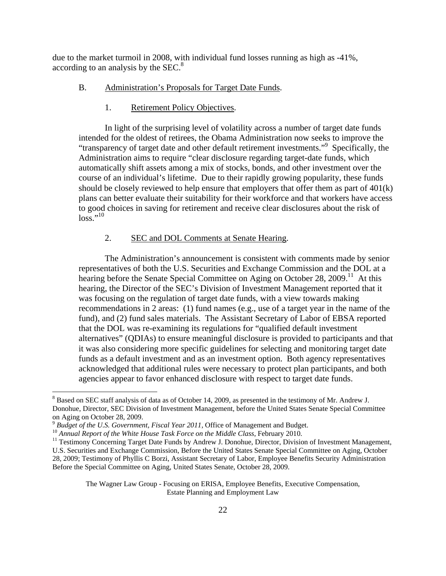due to the market turmoil in 2008, with individual fund losses running as high as -41%, according to an analysis by the  $SEC.<sup>8</sup>$ 

- B. Administration's Proposals for Target Date Funds.
	- 1. Retirement Policy Objectives.

In light of the surprising level of volatility across a number of target date funds intended for the oldest of retirees, the Obama Administration now seeks to improve the "transparency of target date and other default retirement investments."9 Specifically, the Administration aims to require "clear disclosure regarding target-date funds, which automatically shift assets among a mix of stocks, bonds, and other investment over the course of an individual's lifetime. Due to their rapidly growing popularity, these funds should be closely reviewed to help ensure that employers that offer them as part of 401(k) plans can better evaluate their suitability for their workforce and that workers have access to good choices in saving for retirement and receive clear disclosures about the risk of  $\log s$ ."10

#### 2. SEC and DOL Comments at Senate Hearing.

The Administration's announcement is consistent with comments made by senior representatives of both the U.S. Securities and Exchange Commission and the DOL at a hearing before the Senate Special Committee on Aging on October 28, 2009.<sup>11</sup> At this hearing, the Director of the SEC's Division of Investment Management reported that it was focusing on the regulation of target date funds, with a view towards making recommendations in 2 areas: (1) fund names (e.g., use of a target year in the name of the fund), and (2) fund sales materials. The Assistant Secretary of Labor of EBSA reported that the DOL was re-examining its regulations for "qualified default investment alternatives" (QDIAs) to ensure meaningful disclosure is provided to participants and that it was also considering more specific guidelines for selecting and monitoring target date funds as a default investment and as an investment option. Both agency representatives acknowledged that additional rules were necessary to protect plan participants, and both agencies appear to favor enhanced disclosure with respect to target date funds.

 $\overline{a}$ 

<sup>&</sup>lt;sup>8</sup> Based on SEC staff analysis of data as of October 14, 2009, as presented in the testimony of Mr. Andrew J. Donohue, Director, SEC Division of Investment Management, before the United States Senate Special Committee on Aging on October 28, 2009.<br><sup>9</sup> Budget of the U.S. Government, Fiscal Year 2011, Office of Management and Budget.

<sup>&</sup>lt;sup>10</sup> Annual Report of the White House Task Force on the Middle Class, February 2010.<br><sup>11</sup> Testimony Concerning Target Date Funds by Andrew J. Donohue, Director, Division of Investment Management,

U.S. Securities and Exchange Commission, Before the United States Senate Special Committee on Aging, October 28, 2009; Testimony of Phyllis C Borzi, Assistant Secretary of Labor, Employee Benefits Security Administration Before the Special Committee on Aging, United States Senate, October 28, 2009.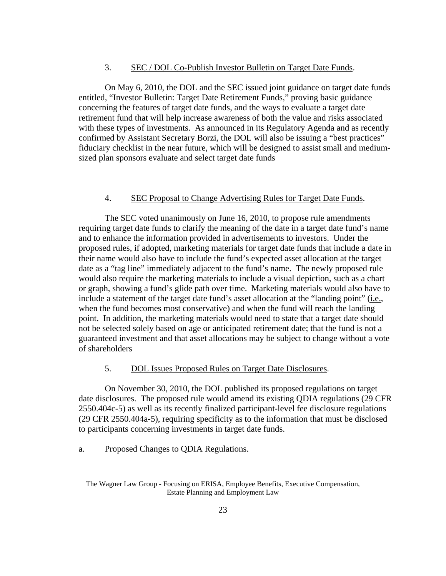#### 3. SEC / DOL Co-Publish Investor Bulletin on Target Date Funds.

On May 6, 2010, the DOL and the SEC issued joint guidance on target date funds entitled, "Investor Bulletin: Target Date Retirement Funds," proving basic guidance concerning the features of target date funds, and the ways to evaluate a target date retirement fund that will help increase awareness of both the value and risks associated with these types of investments. As announced in its Regulatory Agenda and as recently confirmed by Assistant Secretary Borzi, the DOL will also be issuing a "best practices" fiduciary checklist in the near future, which will be designed to assist small and mediumsized plan sponsors evaluate and select target date funds

#### 4. SEC Proposal to Change Advertising Rules for Target Date Funds.

The SEC voted unanimously on June 16, 2010, to propose rule amendments requiring target date funds to clarify the meaning of the date in a target date fund's name and to enhance the information provided in advertisements to investors. Under the proposed rules, if adopted, marketing materials for target date funds that include a date in their name would also have to include the fund's expected asset allocation at the target date as a "tag line" immediately adjacent to the fund's name. The newly proposed rule would also require the marketing materials to include a visual depiction, such as a chart or graph, showing a fund's glide path over time. Marketing materials would also have to include a statement of the target date fund's asset allocation at the "landing point" (i.e., when the fund becomes most conservative) and when the fund will reach the landing point. In addition, the marketing materials would need to state that a target date should not be selected solely based on age or anticipated retirement date; that the fund is not a guaranteed investment and that asset allocations may be subject to change without a vote of shareholders

## 5. DOL Issues Proposed Rules on Target Date Disclosures.

On November 30, 2010, the DOL published its proposed regulations on target date disclosures. The proposed rule would amend its existing QDIA regulations (29 CFR 2550.404c-5) as well as its recently finalized participant-level fee disclosure regulations (29 CFR 2550.404a-5), requiring specificity as to the information that must be disclosed to participants concerning investments in target date funds.

## a. Proposed Changes to QDIA Regulations.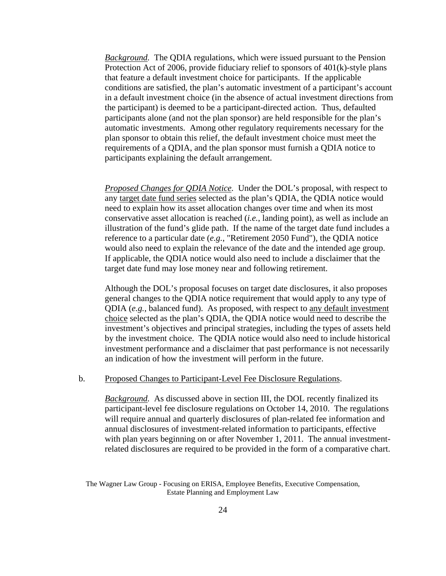*Background.* The QDIA regulations, which were issued pursuant to the Pension Protection Act of 2006, provide fiduciary relief to sponsors of 401(k)-style plans that feature a default investment choice for participants. If the applicable conditions are satisfied, the plan's automatic investment of a participant's account in a default investment choice (in the absence of actual investment directions from the participant) is deemed to be a participant-directed action. Thus, defaulted participants alone (and not the plan sponsor) are held responsible for the plan's automatic investments. Among other regulatory requirements necessary for the plan sponsor to obtain this relief, the default investment choice must meet the requirements of a QDIA, and the plan sponsor must furnish a QDIA notice to participants explaining the default arrangement.

*Proposed Changes for QDIA Notice.* Under the DOL's proposal, with respect to any target date fund series selected as the plan's QDIA, the QDIA notice would need to explain how its asset allocation changes over time and when its most conservative asset allocation is reached (*i.e.*, landing point), as well as include an illustration of the fund's glide path. If the name of the target date fund includes a reference to a particular date (*e.g.*, "Retirement 2050 Fund"), the QDIA notice would also need to explain the relevance of the date and the intended age group. If applicable, the QDIA notice would also need to include a disclaimer that the target date fund may lose money near and following retirement.

Although the DOL's proposal focuses on target date disclosures, it also proposes general changes to the QDIA notice requirement that would apply to any type of QDIA (*e.g.*, balanced fund). As proposed, with respect to any default investment choice selected as the plan's QDIA, the QDIA notice would need to describe the investment's objectives and principal strategies, including the types of assets held by the investment choice. The QDIA notice would also need to include historical investment performance and a disclaimer that past performance is not necessarily an indication of how the investment will perform in the future.

#### b. Proposed Changes to Participant-Level Fee Disclosure Regulations.

*Background.* As discussed above in section III, the DOL recently finalized its participant-level fee disclosure regulations on October 14, 2010. The regulations will require annual and quarterly disclosures of plan-related fee information and annual disclosures of investment-related information to participants, effective with plan years beginning on or after November 1, 2011. The annual investmentrelated disclosures are required to be provided in the form of a comparative chart.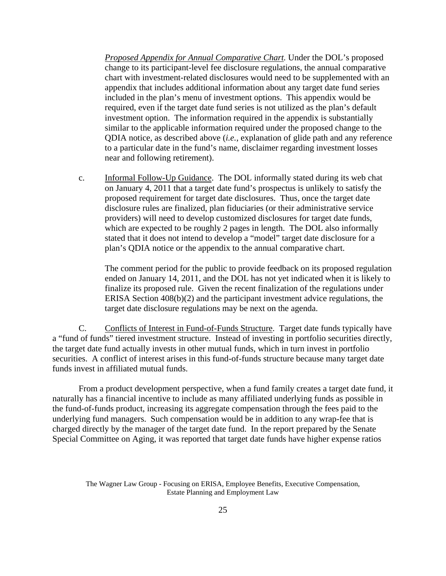*Proposed Appendix for Annual Comparative Chart.* Under the DOL's proposed change to its participant-level fee disclosure regulations, the annual comparative chart with investment-related disclosures would need to be supplemented with an appendix that includes additional information about any target date fund series included in the plan's menu of investment options. This appendix would be required, even if the target date fund series is not utilized as the plan's default investment option. The information required in the appendix is substantially similar to the applicable information required under the proposed change to the QDIA notice, as described above (*i.e.*, explanation of glide path and any reference to a particular date in the fund's name, disclaimer regarding investment losses near and following retirement).

c. Informal Follow-Up Guidance. The DOL informally stated during its web chat on January 4, 2011 that a target date fund's prospectus is unlikely to satisfy the proposed requirement for target date disclosures. Thus, once the target date disclosure rules are finalized, plan fiduciaries (or their administrative service providers) will need to develop customized disclosures for target date funds, which are expected to be roughly 2 pages in length. The DOL also informally stated that it does not intend to develop a "model" target date disclosure for a plan's QDIA notice or the appendix to the annual comparative chart.

The comment period for the public to provide feedback on its proposed regulation ended on January 14, 2011, and the DOL has not yet indicated when it is likely to finalize its proposed rule. Given the recent finalization of the regulations under ERISA Section 408(b)(2) and the participant investment advice regulations, the target date disclosure regulations may be next on the agenda.

C. Conflicts of Interest in Fund-of-Funds Structure. Target date funds typically have a "fund of funds" tiered investment structure. Instead of investing in portfolio securities directly, the target date fund actually invests in other mutual funds, which in turn invest in portfolio securities. A conflict of interest arises in this fund-of-funds structure because many target date funds invest in affiliated mutual funds.

From a product development perspective, when a fund family creates a target date fund, it naturally has a financial incentive to include as many affiliated underlying funds as possible in the fund-of-funds product, increasing its aggregate compensation through the fees paid to the underlying fund managers. Such compensation would be in addition to any wrap-fee that is charged directly by the manager of the target date fund. In the report prepared by the Senate Special Committee on Aging, it was reported that target date funds have higher expense ratios

The Wagner Law Group - Focusing on ERISA, Employee Benefits, Executive Compensation, Estate Planning and Employment Law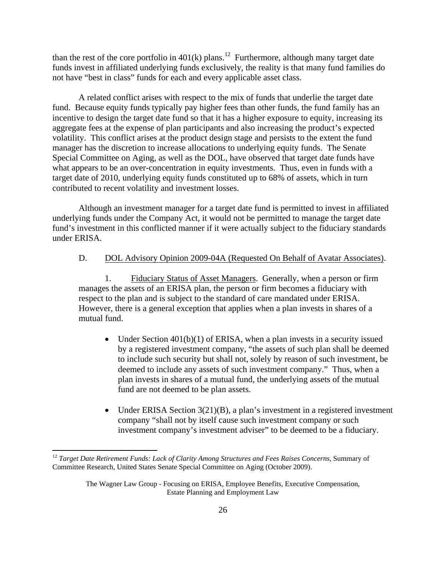than the rest of the core portfolio in  $401(k)$  plans.<sup>12</sup> Furthermore, although many target date funds invest in affiliated underlying funds exclusively, the reality is that many fund families do not have "best in class" funds for each and every applicable asset class.

A related conflict arises with respect to the mix of funds that underlie the target date fund. Because equity funds typically pay higher fees than other funds, the fund family has an incentive to design the target date fund so that it has a higher exposure to equity, increasing its aggregate fees at the expense of plan participants and also increasing the product's expected volatility. This conflict arises at the product design stage and persists to the extent the fund manager has the discretion to increase allocations to underlying equity funds. The Senate Special Committee on Aging, as well as the DOL, have observed that target date funds have what appears to be an over-concentration in equity investments. Thus, even in funds with a target date of 2010, underlying equity funds constituted up to 68% of assets, which in turn contributed to recent volatility and investment losses.

Although an investment manager for a target date fund is permitted to invest in affiliated underlying funds under the Company Act, it would not be permitted to manage the target date fund's investment in this conflicted manner if it were actually subject to the fiduciary standards under ERISA.

# D. DOL Advisory Opinion 2009-04A (Requested On Behalf of Avatar Associates).

1. Fiduciary Status of Asset Managers. Generally, when a person or firm manages the assets of an ERISA plan, the person or firm becomes a fiduciary with respect to the plan and is subject to the standard of care mandated under ERISA. However, there is a general exception that applies when a plan invests in shares of a mutual fund.

- Under Section  $401(b)(1)$  of ERISA, when a plan invests in a security issued by a registered investment company, "the assets of such plan shall be deemed to include such security but shall not, solely by reason of such investment, be deemed to include any assets of such investment company." Thus, when a plan invests in shares of a mutual fund, the underlying assets of the mutual fund are not deemed to be plan assets.
- Under ERISA Section  $3(21)(B)$ , a plan's investment in a registered investment company "shall not by itself cause such investment company or such investment company's investment adviser" to be deemed to be a fiduciary.

 $\overline{a}$ 

<sup>12</sup> *Target Date Retirement Funds: Lack of Clarity Among Structures and Fees Raises Concerns*, Summary of Committee Research, United States Senate Special Committee on Aging (October 2009).

The Wagner Law Group - Focusing on ERISA, Employee Benefits, Executive Compensation, Estate Planning and Employment Law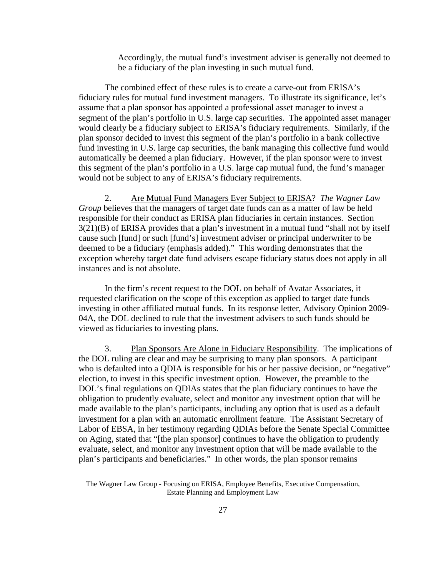Accordingly, the mutual fund's investment adviser is generally not deemed to be a fiduciary of the plan investing in such mutual fund.

The combined effect of these rules is to create a carve-out from ERISA's fiduciary rules for mutual fund investment managers. To illustrate its significance, let's assume that a plan sponsor has appointed a professional asset manager to invest a segment of the plan's portfolio in U.S. large cap securities. The appointed asset manager would clearly be a fiduciary subject to ERISA's fiduciary requirements. Similarly, if the plan sponsor decided to invest this segment of the plan's portfolio in a bank collective fund investing in U.S. large cap securities, the bank managing this collective fund would automatically be deemed a plan fiduciary. However, if the plan sponsor were to invest this segment of the plan's portfolio in a U.S. large cap mutual fund, the fund's manager would not be subject to any of ERISA's fiduciary requirements.

2. Are Mutual Fund Managers Ever Subject to ERISA? *The Wagner Law Group* believes that the managers of target date funds can as a matter of law be held responsible for their conduct as ERISA plan fiduciaries in certain instances. Section 3(21)(B) of ERISA provides that a plan's investment in a mutual fund "shall not by itself cause such [fund] or such [fund's] investment adviser or principal underwriter to be deemed to be a fiduciary (emphasis added)." This wording demonstrates that the exception whereby target date fund advisers escape fiduciary status does not apply in all instances and is not absolute.

In the firm's recent request to the DOL on behalf of Avatar Associates, it requested clarification on the scope of this exception as applied to target date funds investing in other affiliated mutual funds. In its response letter, Advisory Opinion 2009- 04A, the DOL declined to rule that the investment advisers to such funds should be viewed as fiduciaries to investing plans.

3. Plan Sponsors Are Alone in Fiduciary Responsibility. The implications of the DOL ruling are clear and may be surprising to many plan sponsors. A participant who is defaulted into a QDIA is responsible for his or her passive decision, or "negative" election, to invest in this specific investment option. However, the preamble to the DOL's final regulations on QDIAs states that the plan fiduciary continues to have the obligation to prudently evaluate, select and monitor any investment option that will be made available to the plan's participants, including any option that is used as a default investment for a plan with an automatic enrollment feature. The Assistant Secretary of Labor of EBSA, in her testimony regarding QDIAs before the Senate Special Committee on Aging, stated that "[the plan sponsor] continues to have the obligation to prudently evaluate, select, and monitor any investment option that will be made available to the plan's participants and beneficiaries." In other words, the plan sponsor remains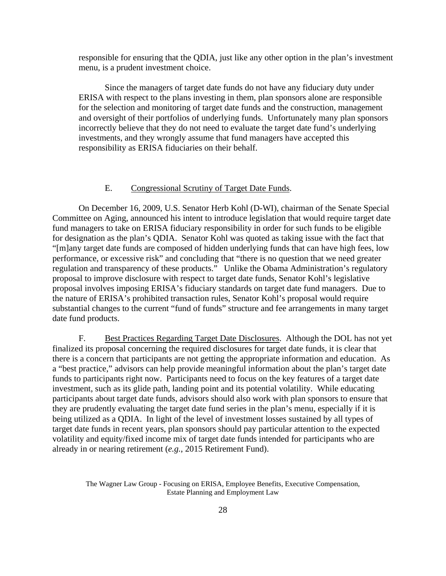responsible for ensuring that the QDIA, just like any other option in the plan's investment menu, is a prudent investment choice.

Since the managers of target date funds do not have any fiduciary duty under ERISA with respect to the plans investing in them, plan sponsors alone are responsible for the selection and monitoring of target date funds and the construction, management and oversight of their portfolios of underlying funds. Unfortunately many plan sponsors incorrectly believe that they do not need to evaluate the target date fund's underlying investments, and they wrongly assume that fund managers have accepted this responsibility as ERISA fiduciaries on their behalf.

# E. Congressional Scrutiny of Target Date Funds.

On December 16, 2009, U.S. Senator Herb Kohl (D-WI), chairman of the Senate Special Committee on Aging, announced his intent to introduce legislation that would require target date fund managers to take on ERISA fiduciary responsibility in order for such funds to be eligible for designation as the plan's QDIA. Senator Kohl was quoted as taking issue with the fact that "[m]any target date funds are composed of hidden underlying funds that can have high fees, low performance, or excessive risk" and concluding that "there is no question that we need greater regulation and transparency of these products." Unlike the Obama Administration's regulatory proposal to improve disclosure with respect to target date funds, Senator Kohl's legislative proposal involves imposing ERISA's fiduciary standards on target date fund managers. Due to the nature of ERISA's prohibited transaction rules, Senator Kohl's proposal would require substantial changes to the current "fund of funds" structure and fee arrangements in many target date fund products.

F. Best Practices Regarding Target Date Disclosures. Although the DOL has not yet finalized its proposal concerning the required disclosures for target date funds, it is clear that there is a concern that participants are not getting the appropriate information and education. As a "best practice," advisors can help provide meaningful information about the plan's target date funds to participants right now. Participants need to focus on the key features of a target date investment, such as its glide path, landing point and its potential volatility. While educating participants about target date funds, advisors should also work with plan sponsors to ensure that they are prudently evaluating the target date fund series in the plan's menu, especially if it is being utilized as a QDIA. In light of the level of investment losses sustained by all types of target date funds in recent years, plan sponsors should pay particular attention to the expected volatility and equity/fixed income mix of target date funds intended for participants who are already in or nearing retirement (*e.g.*, 2015 Retirement Fund).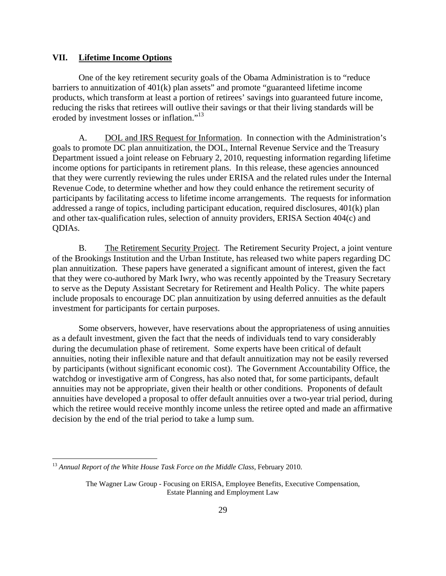#### **VII. Lifetime Income Options**

One of the key retirement security goals of the Obama Administration is to "reduce barriers to annuitization of 401(k) plan assets" and promote "guaranteed lifetime income products, which transform at least a portion of retirees' savings into guaranteed future income, reducing the risks that retirees will outlive their savings or that their living standards will be eroded by investment losses or inflation."<sup>13</sup>

A. DOL and IRS Request for Information. In connection with the Administration's goals to promote DC plan annuitization, the DOL, Internal Revenue Service and the Treasury Department issued a joint release on February 2, 2010, requesting information regarding lifetime income options for participants in retirement plans. In this release, these agencies announced that they were currently reviewing the rules under ERISA and the related rules under the Internal Revenue Code, to determine whether and how they could enhance the retirement security of participants by facilitating access to lifetime income arrangements. The requests for information addressed a range of topics, including participant education, required disclosures, 401(k) plan and other tax-qualification rules, selection of annuity providers, ERISA Section 404(c) and QDIAs.

B. The Retirement Security Project. The Retirement Security Project, a joint venture of the Brookings Institution and the Urban Institute, has released two white papers regarding DC plan annuitization. These papers have generated a significant amount of interest, given the fact that they were co-authored by Mark Iwry, who was recently appointed by the Treasury Secretary to serve as the Deputy Assistant Secretary for Retirement and Health Policy. The white papers include proposals to encourage DC plan annuitization by using deferred annuities as the default investment for participants for certain purposes.

Some observers, however, have reservations about the appropriateness of using annuities as a default investment, given the fact that the needs of individuals tend to vary considerably during the decumulation phase of retirement. Some experts have been critical of default annuities, noting their inflexible nature and that default annuitization may not be easily reversed by participants (without significant economic cost). The Government Accountability Office, the watchdog or investigative arm of Congress, has also noted that, for some participants, default annuities may not be appropriate, given their health or other conditions. Proponents of default annuities have developed a proposal to offer default annuities over a two-year trial period, during which the retiree would receive monthly income unless the retiree opted and made an affirmative decision by the end of the trial period to take a lump sum.

 $\overline{a}$ 

<sup>13</sup> *Annual Report of the White House Task Force on the Middle Class*, February 2010.

The Wagner Law Group - Focusing on ERISA, Employee Benefits, Executive Compensation, Estate Planning and Employment Law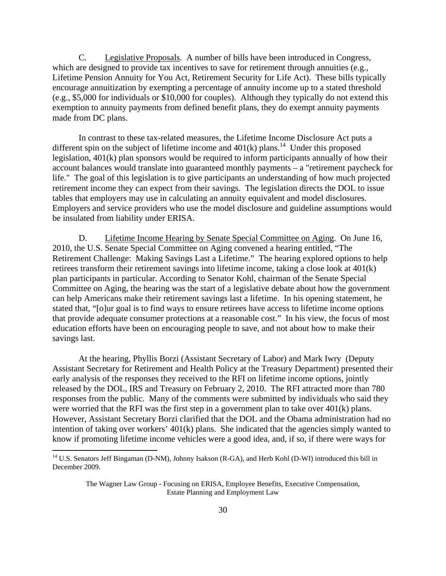C. Legislative Proposals. A number of bills have been introduced in Congress, which are designed to provide tax incentives to save for retirement through annuities (e.g., Lifetime Pension Annuity for You Act, Retirement Security for Life Act). These bills typically encourage annuitization by exempting a percentage of annuity income up to a stated threshold (e.g., \$5,000 for individuals or \$10,000 for couples). Although they typically do not extend this exemption to annuity payments from defined benefit plans, they do exempt annuity payments made from DC plans.

In contrast to these tax-related measures, the Lifetime Income Disclosure Act puts a different spin on the subject of lifetime income and  $401(k)$  plans.<sup>14</sup> Under this proposed legislation, 401(k) plan sponsors would be required to inform participants annually of how their account balances would translate into guaranteed monthly payments – a "retirement paycheck for life." The goal of this legislation is to give participants an understanding of how much projected retirement income they can expect from their savings. The legislation directs the DOL to issue tables that employers may use in calculating an annuity equivalent and model disclosures. Employers and service providers who use the model disclosure and guideline assumptions would be insulated from liability under ERISA.

D. Lifetime Income Hearing by Senate Special Committee on Aging. On June 16, 2010, the U.S. Senate Special Committee on Aging convened a hearing entitled, "The Retirement Challenge: Making Savings Last a Lifetime." The hearing explored options to help retirees transform their retirement savings into lifetime income, taking a close look at 401(k) plan participants in particular. According to Senator Kohl, chairman of the Senate Special Committee on Aging, the hearing was the start of a legislative debate about how the government can help Americans make their retirement savings last a lifetime. In his opening statement, he stated that, "[o]ur goal is to find ways to ensure retirees have access to lifetime income options that provide adequate consumer protections at a reasonable cost." In his view, the focus of most education efforts have been on encouraging people to save, and not about how to make their savings last.

At the hearing, Phyllis Borzi (Assistant Secretary of Labor) and Mark Iwry (Deputy Assistant Secretary for Retirement and Health Policy at the Treasury Department) presented their early analysis of the responses they received to the RFI on lifetime income options, jointly released by the DOL, IRS and Treasury on February 2, 2010. The RFI attracted more than 780 responses from the public. Many of the comments were submitted by individuals who said they were worried that the RFI was the first step in a government plan to take over 401(k) plans. However, Assistant Secretary Borzi clarified that the DOL and the Obama administration had no intention of taking over workers' 401(k) plans. She indicated that the agencies simply wanted to know if promoting lifetime income vehicles were a good idea, and, if so, if there were ways for

 $\overline{a}$ 

<sup>&</sup>lt;sup>14</sup> U.S. Senators Jeff Bingaman (D-NM), Johnny Isakson (R-GA), and Herb Kohl (D-WI) introduced this bill in December 2009.

The Wagner Law Group - Focusing on ERISA, Employee Benefits, Executive Compensation, Estate Planning and Employment Law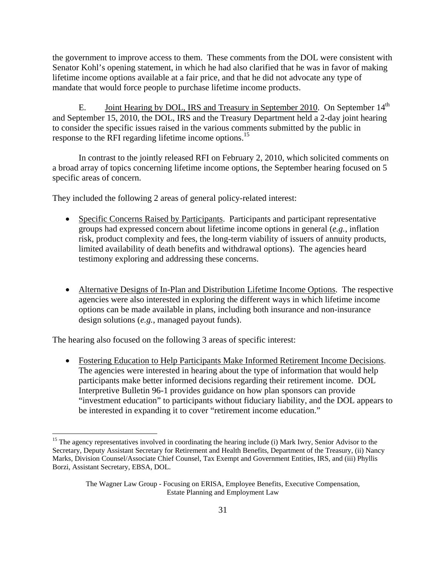the government to improve access to them. These comments from the DOL were consistent with Senator Kohl's opening statement, in which he had also clarified that he was in favor of making lifetime income options available at a fair price, and that he did not advocate any type of mandate that would force people to purchase lifetime income products.

E. **Joint Hearing by DOL, IRS and Treasury in September 2010.** On September 14<sup>th</sup> and September 15, 2010, the DOL, IRS and the Treasury Department held a 2-day joint hearing to consider the specific issues raised in the various comments submitted by the public in response to the RFI regarding lifetime income options.<sup>15</sup>

In contrast to the jointly released RFI on February 2, 2010, which solicited comments on a broad array of topics concerning lifetime income options, the September hearing focused on 5 specific areas of concern.

They included the following 2 areas of general policy-related interest:

- Specific Concerns Raised by Participants. Participants and participant representative groups had expressed concern about lifetime income options in general (*e.g.*, inflation risk, product complexity and fees, the long-term viability of issuers of annuity products, limited availability of death benefits and withdrawal options). The agencies heard testimony exploring and addressing these concerns.
- Alternative Designs of In-Plan and Distribution Lifetime Income Options. The respective agencies were also interested in exploring the different ways in which lifetime income options can be made available in plans, including both insurance and non-insurance design solutions (*e.g.*, managed payout funds).

The hearing also focused on the following 3 areas of specific interest:

<u>.</u>

 Fostering Education to Help Participants Make Informed Retirement Income Decisions. The agencies were interested in hearing about the type of information that would help participants make better informed decisions regarding their retirement income. DOL Interpretive Bulletin 96-1 provides guidance on how plan sponsors can provide "investment education" to participants without fiduciary liability, and the DOL appears to be interested in expanding it to cover "retirement income education."

<sup>&</sup>lt;sup>15</sup> The agency representatives involved in coordinating the hearing include (i) Mark Iwry, Senior Advisor to the Secretary, Deputy Assistant Secretary for Retirement and Health Benefits, Department of the Treasury, (ii) Nancy Marks, Division Counsel/Associate Chief Counsel, Tax Exempt and Government Entities, IRS, and (iii) Phyllis Borzi, Assistant Secretary, EBSA, DOL.

The Wagner Law Group - Focusing on ERISA, Employee Benefits, Executive Compensation, Estate Planning and Employment Law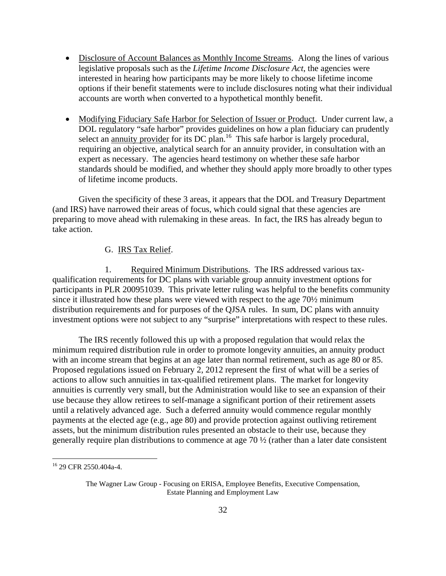- Disclosure of Account Balances as Monthly Income Streams. Along the lines of various legislative proposals such as the *Lifetime Income Disclosure Act*, the agencies were interested in hearing how participants may be more likely to choose lifetime income options if their benefit statements were to include disclosures noting what their individual accounts are worth when converted to a hypothetical monthly benefit.
- Modifying Fiduciary Safe Harbor for Selection of Issuer or Product. Under current law, a DOL regulatory "safe harbor" provides guidelines on how a plan fiduciary can prudently select an annuity provider for its DC plan.<sup>16</sup> This safe harbor is largely procedural, requiring an objective, analytical search for an annuity provider, in consultation with an expert as necessary. The agencies heard testimony on whether these safe harbor standards should be modified, and whether they should apply more broadly to other types of lifetime income products.

Given the specificity of these 3 areas, it appears that the DOL and Treasury Department (and IRS) have narrowed their areas of focus, which could signal that these agencies are preparing to move ahead with rulemaking in these areas. In fact, the IRS has already begun to take action.

# G. IRS Tax Relief.

1. Required Minimum Distributions. The IRS addressed various taxqualification requirements for DC plans with variable group annuity investment options for participants in PLR 200951039. This private letter ruling was helpful to the benefits community since it illustrated how these plans were viewed with respect to the age 70½ minimum distribution requirements and for purposes of the QJSA rules. In sum, DC plans with annuity investment options were not subject to any "surprise" interpretations with respect to these rules.

The IRS recently followed this up with a proposed regulation that would relax the minimum required distribution rule in order to promote longevity annuities, an annuity product with an income stream that begins at an age later than normal retirement, such as age 80 or 85. Proposed regulations issued on February 2, 2012 represent the first of what will be a series of actions to allow such annuities in tax-qualified retirement plans. The market for longevity annuities is currently very small, but the Administration would like to see an expansion of their use because they allow retirees to self-manage a significant portion of their retirement assets until a relatively advanced age. Such a deferred annuity would commence regular monthly payments at the elected age (e.g., age 80) and provide protection against outliving retirement assets, but the minimum distribution rules presented an obstacle to their use, because they generally require plan distributions to commence at age 70 ½ (rather than a later date consistent

 $\overline{a}$ 

<sup>16 29</sup> CFR 2550.404a-4.

The Wagner Law Group - Focusing on ERISA, Employee Benefits, Executive Compensation, Estate Planning and Employment Law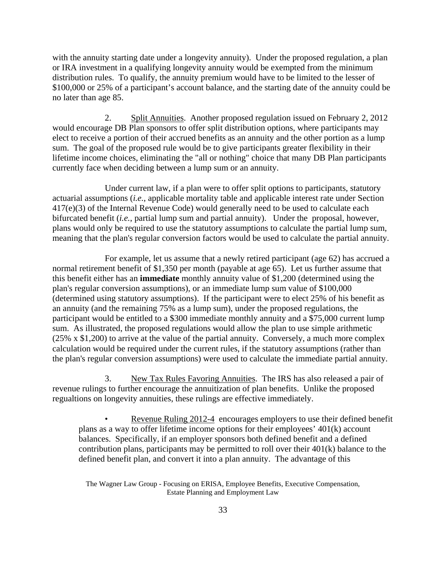with the annuity starting date under a longevity annuity). Under the proposed regulation, a plan or IRA investment in a qualifying longevity annuity would be exempted from the minimum distribution rules. To qualify, the annuity premium would have to be limited to the lesser of \$100,000 or 25% of a participant's account balance, and the starting date of the annuity could be no later than age 85.

2. Split Annuities. Another proposed regulation issued on February 2, 2012 would encourage DB Plan sponsors to offer split distribution options, where participants may elect to receive a portion of their accrued benefits as an annuity and the other portion as a lump sum. The goal of the proposed rule would be to give participants greater flexibility in their lifetime income choices, eliminating the "all or nothing" choice that many DB Plan participants currently face when deciding between a lump sum or an annuity.

Under current law, if a plan were to offer split options to participants, statutory actuarial assumptions (*i.e.*, applicable mortality table and applicable interest rate under Section 417(e)(3) of the Internal Revenue Code) would generally need to be used to calculate each bifurcated benefit (*i.e.*, partial lump sum and partial annuity). Under the proposal, however, plans would only be required to use the statutory assumptions to calculate the partial lump sum, meaning that the plan's regular conversion factors would be used to calculate the partial annuity.

For example, let us assume that a newly retired participant (age 62) has accrued a normal retirement benefit of \$1,350 per month (payable at age 65). Let us further assume that this benefit either has an **immediate** monthly annuity value of \$1,200 (determined using the plan's regular conversion assumptions), or an immediate lump sum value of \$100,000 (determined using statutory assumptions). If the participant were to elect 25% of his benefit as an annuity (and the remaining 75% as a lump sum), under the proposed regulations, the participant would be entitled to a \$300 immediate monthly annuity and a \$75,000 current lump sum. As illustrated, the proposed regulations would allow the plan to use simple arithmetic (25% x \$1,200) to arrive at the value of the partial annuity. Conversely, a much more complex calculation would be required under the current rules, if the statutory assumptions (rather than the plan's regular conversion assumptions) were used to calculate the immediate partial annuity.

3. New Tax Rules Favoring Annuities. The IRS has also released a pair of revenue rulings to further encourage the annuitization of plan benefits. Unlike the proposed regualtions on longevity annuities, these rulings are effective immediately.

Revenue Ruling 2012-4 encourages employers to use their defined benefit plans as a way to offer lifetime income options for their employees' 401(k) account balances. Specifically, if an employer sponsors both defined benefit and a defined contribution plans, participants may be permitted to roll over their 401(k) balance to the defined benefit plan, and convert it into a plan annuity. The advantage of this